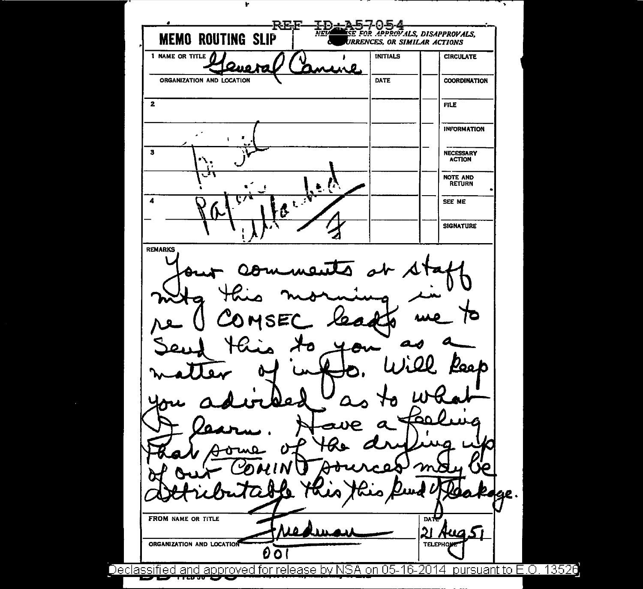**REF** ID + A57054<br>NEVERSE FOR APPROVALS, DISAPPROVALS, **MEMO ROUTING SLIP** URRENCES, OR SIMILAR ACTIONS 1 NAME OR TITLE **INITIALS CIRCULATE** ORGANIZATION AND LCCATION **DATE COORDINATION**  $\overline{2}$ **FILE INFORMATION** f.  $\overline{\mathbf{3}}$ NECESSARY<br>ACTION NOTE AND<br>RETURN  $\overline{\mathbf{A}}$ SEE ME  $\mathbf{t}$ **SIGNATURE** REMARKS FROM NAME OR TITLE **DATE** 21 HUQ ORGANIZATION AND LOCATION **TELEPHO** 00 Declassified and approved for release by NSA on 05-16-2014 pursuant to E.O. 13526